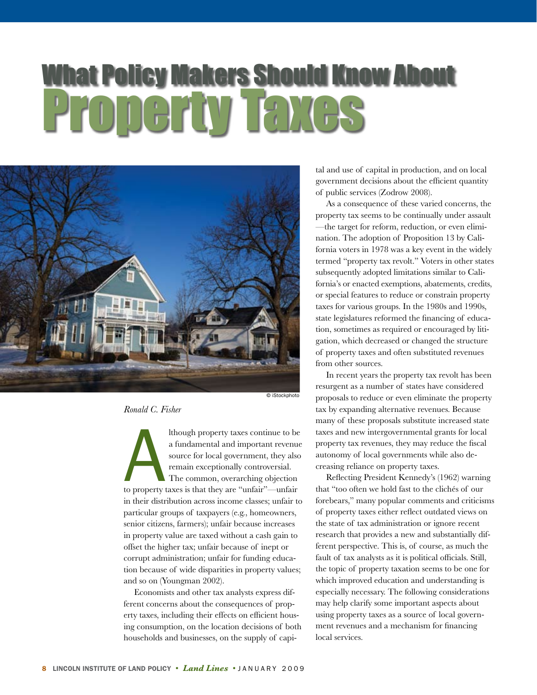# What Policy Makers Should Know About Property Taxes



*Ronald C. Fisher* 

Ithough property taxes continue to b<br>a fundamental and important revenu<br>source for local government, they als<br>remain exceptionally controversial.<br>The common, overarching objection<br>to property taxes is that they are "unfair lthough property taxes continue to be a fundamental and important revenue source for local government, they also remain exceptionally controversial. The common, overarching objection in their distribution across income classes; unfair to particular groups of taxpayers (e.g., homeowners, senior citizens, farmers); unfair because increases in property value are taxed without a cash gain to offset the higher tax; unfair because of inept or corrupt administration; unfair for funding education because of wide disparities in property values; and so on (Youngman 2002).

Economists and other tax analysts express different concerns about the consequences of property taxes, including their effects on efficient housing consumption, on the location decisions of both households and businesses, on the supply of capital and use of capital in production, and on local government decisions about the efficient quantity of public services (Zodrow 2008).

As a consequence of these varied concerns, the property tax seems to be continually under assault —the target for reform, reduction, or even elimination. The adoption of Proposition 13 by California voters in 1978 was a key event in the widely termed "property tax revolt." Voters in other states subsequently adopted limitations similar to California's or enacted exemptions, abatements, credits, or special features to reduce or constrain property taxes for various groups. In the 1980s and 1990s, state legislatures reformed the financing of education, sometimes as required or encouraged by litigation, which decreased or changed the structure of property taxes and often substituted revenues from other sources.

 In recent years the property tax revolt has been resurgent as a number of states have considered proposals to reduce or even eliminate the property tax by expanding alternative revenues. Because many of these proposals substitute increased state taxes and new intergovernmental grants for local property tax revenues, they may reduce the fiscal autonomy of local governments while also decreasing reliance on property taxes.

Reflecting President Kennedy's (1962) warning that "too often we hold fast to the clichés of our forebears," many popular comments and criticisms of property taxes either reflect outdated views on the state of tax administration or ignore recent research that provides a new and substantially different perspective. This is, of course, as much the fault of tax analysts as it is political officials. Still, the topic of property taxation seems to be one for which improved education and understanding is especially necessary. The following considerations may help clarify some important aspects about using property taxes as a source of local government revenues and a mechanism for financing local services.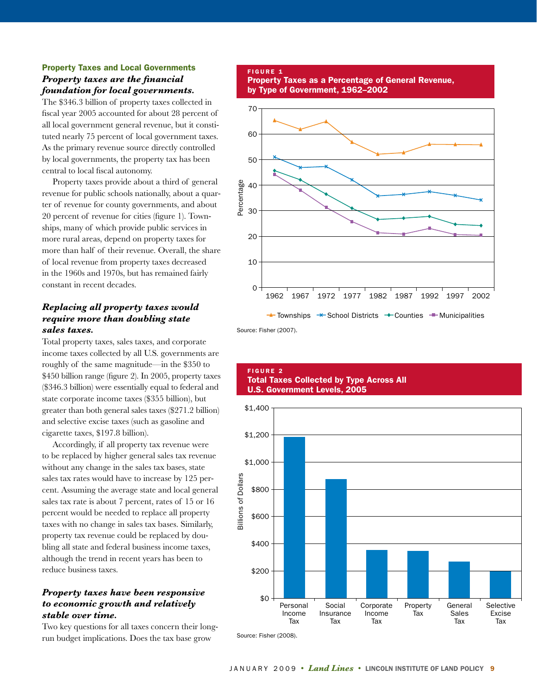# Property Taxes and Local Governments *Property taxes are the financial foundation for local governments.*

The \$346.3 billion of property taxes collected in fiscal year 2005 accounted for about 28 percent of all local government general revenue, but it constituted nearly 75 percent of local government taxes. As the primary revenue source directly controlled by local governments, the property tax has been central to local fiscal autonomy.

 Property taxes provide about a third of general revenue for public schools nationally, about a quarter of revenue for county governments, and about 20 percent of revenue for cities (figure 1). Townships, many of which provide public services in more rural areas, depend on property taxes for more than half of their revenue. Overall, the share of local revenue from property taxes decreased in the 1960s and 1970s, but has remained fairly constant in recent decades.

## *Replacing all property taxes would require more than doubling state sales taxes.*

Total property taxes, sales taxes, and corporate income taxes collected by all U.S. governments are roughly of the same magnitude—in the \$350 to \$450 billion range (figure 2). In 2005, property taxes (\$346.3 billion) were essentially equal to federal and state corporate income taxes (\$355 billion), but greater than both general sales taxes (\$271.2 billion) and selective excise taxes (such as gasoline and cigarette taxes, \$197.8 billion).

Accordingly, if all property tax revenue were to be replaced by higher general sales tax revenue without any change in the sales tax bases, state sales tax rates would have to increase by 125 percent. Assuming the average state and local general sales tax rate is about 7 percent, rates of 15 or 16 percent would be needed to replace all property taxes with no change in sales tax bases. Similarly, property tax revenue could be replaced by doubling all state and federal business income taxes, although the trend in recent years has been to reduce business taxes.

# *Property taxes have been responsive to economic growth and relatively stable over time.*

Two key questions for all taxes concern their longrun budget implications. Does the tax base grow

#### FIGURE 1 Property Taxes as a Percentage of General Revenue, by Type of Government, 1962–2002



Source: Fisher (2007).

## **FIGURE 2** Total Taxes Collected by Type Across All U.S. Government Levels, 2005



JANUARY 2009 • *Land Lines* • LINCOLN INSTITUTE OF LAND POLICY 9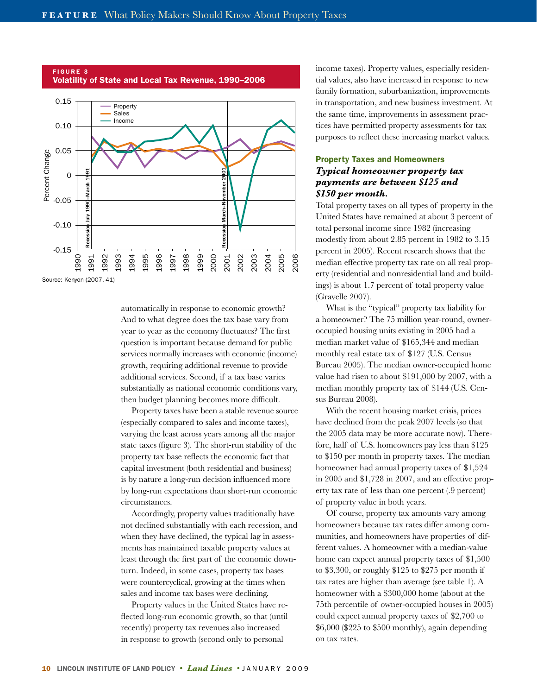

FIGURE 3 Volatility of State and Local Tax Revenue, 1990–2006

> automatically in response to economic growth? And to what degree does the tax base vary from year to year as the economy fluctuates? The first question is important because demand for public services normally increases with economic (income) growth, requiring additional revenue to provide additional services. Second, if a tax base varies substantially as national economic conditions vary, then budget planning becomes more difficult.

> Property taxes have been a stable revenue source (especially compared to sales and income taxes), varying the least across years among all the major state taxes (figure 3). The short-run stability of the property tax base reflects the economic fact that capital investment (both residential and business) is by nature a long-run decision influenced more by long-run expectations than short-run economic circumstances.

> Accordingly, property values traditionally have not declined substantially with each recession, and when they have declined, the typical lag in assessments has maintained taxable property values at least through the first part of the economic downturn. Indeed, in some cases, property tax bases were countercyclical, growing at the times when sales and income tax bases were declining.

 Property values in the United States have reflected long-run economic growth, so that (until recently) property tax revenues also increased in response to growth (second only to personal

income taxes). Property values, especially residential values, also have increased in response to new family formation, suburbanization, improvements in transportation, and new business investment. At the same time, improvements in assessment practices have permitted property assessments for tax purposes to reflect these increasing market values.

# Property Taxes and Homeowners *Typical homeowner property tax payments are between \$125 and \$150 per month.*

Total property taxes on all types of property in the United States have remained at about 3 percent of total personal income since 1982 (increasing modestly from about 2.85 percent in 1982 to 3.15 percent in 2005). Recent research shows that the median effective property tax rate on all real property (residential and nonresidential land and buildings) is about 1.7 percent of total property value (Gravelle 2007).

 What is the "typical" property tax liability for a homeowner? The 75 million year-round, owneroccupied housing units existing in 2005 had a median market value of \$165,344 and median monthly real estate tax of \$127 (U.S. Census Bureau 2005). The median owner-occupied home value had risen to about \$191,000 by 2007, with a median monthly property tax of \$144 (U.S. Census Bureau 2008).

 With the recent housing market crisis, prices have declined from the peak 2007 levels (so that the 2005 data may be more accurate now). Therefore, half of U.S. homeowners pay less than \$125 to \$150 per month in property taxes. The median homeowner had annual property taxes of \$1,524 in 2005 and \$1,728 in 2007, and an effective property tax rate of less than one percent (.9 percent) of property value in both years. 

Of course, property tax amounts vary among homeowners because tax rates differ among communities, and homeowners have properties of different values. A homeowner with a median-value home can expect annual property taxes of \$1,500 to \$3,300, or roughly \$125 to \$275 per month if tax rates are higher than average (see table 1). A homeowner with a \$300,000 home (about at the 75th percentile of owner-occupied houses in 2005) could expect annual property taxes of \$2,700 to \$6,000 (\$225 to \$500 monthly), again depending on tax rates.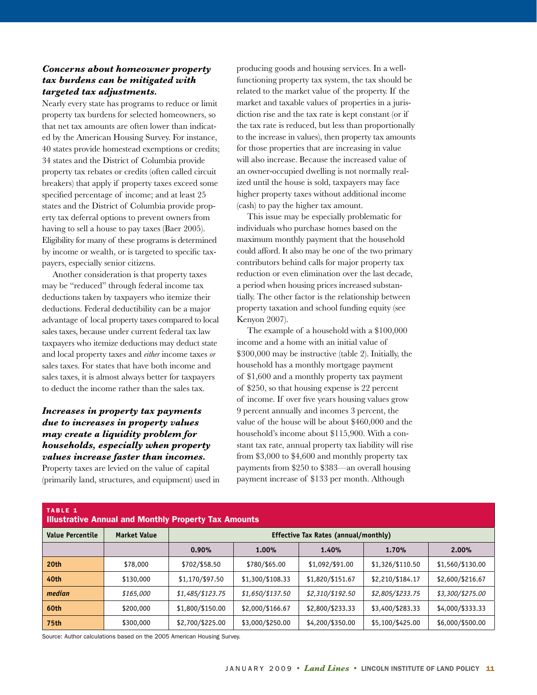# *Concerns about homeowner property tax burdens can be mitigated with targeted tax adjustments.*

Nearly every state has programs to reduce or limit property tax burdens for selected homeowners, so that net tax amounts are often lower than indicated by the American Housing Survey. For instance, 40 states provide homestead exemptions or credits; 34 states and the District of Columbia provide property tax rebates or credits (often called circuit breakers) that apply if property taxes exceed some specified percentage of income; and at least 25 states and the District of Columbia provide property tax deferral options to prevent owners from having to sell a house to pay taxes (Baer 2005). Eligibility for many of these programs is determined by income or wealth, or is targeted to specific taxpayers, especially senior citizens.

Another consideration is that property taxes may be "reduced" through federal income tax deductions taken by taxpayers who itemize their deductions. Federal deductibility can be a major advantage of local property taxes compared to local sales taxes, because under current federal tax law taxpayers who itemize deductions may deduct state and local property taxes and *either* income taxes *or* sales taxes. For states that have both income and sales taxes, it is almost always better for taxpayers to deduct the income rather than the sales tax.

# *Increases in property tax payments due to increases in property values may create a liquidity problem for households, especially when property values increase faster than incomes.*

Property taxes are levied on the value of capital (primarily land, structures, and equipment) used in

Source: Author calculations based on the 2005 American Housing Survey.

producing goods and housing services. In a wellfunctioning property tax system, the tax should be related to the market value of the property. If the market and taxable values of properties in a jurisdiction rise and the tax rate is kept constant (or if the tax rate is reduced, but less than proportionally to the increase in values), then property tax amounts for those properties that are increasing in value will also increase. Because the increased value of an owner-occupied dwelling is not normally realized until the house is sold, taxpayers may face higher property taxes without additional income (cash) to pay the higher tax amount.

This issue may be especially problematic for individuals who purchase homes based on the maximum monthly payment that the household could afford. It also may be one of the two primary contributors behind calls for major property tax reduction or even elimination over the last decade, a period when housing prices increased substantially. The other factor is the relationship between property taxation and school funding equity (see Kenyon 2007).

The example of a household with a \$100,000 income and a home with an initial value of \$300,000 may be instructive (table 2). Initially, the household has a monthly mortgage payment of \$1,600 and a monthly property tax payment of \$250, so that housing expense is 22 percent of income. If over five years housing values grow 9 percent annually and incomes 3 percent, the value of the house will be about \$460,000 and the household's income about \$115,900. With a constant tax rate, annual property tax liability will rise from \$3,000 to \$4,600 and monthly property tax payments from \$250 to \$383—an overall housing payment increase of \$133 per month. Although

| <b>TABLE 1</b><br><b>Illustrative Annual and Monthly Property Tax Amounts</b> |                     |                                      |                  |                  |                  |                  |  |
|-------------------------------------------------------------------------------|---------------------|--------------------------------------|------------------|------------------|------------------|------------------|--|
| Value Percentile                                                              | <b>Market Value</b> | Effective Tax Rates (annual/monthly) |                  |                  |                  |                  |  |
|                                                                               |                     | 0.90%                                | 1.00%            | 1.40%            | 1.70%            | 2.00%            |  |
| 20 <sub>th</sub>                                                              | \$78,000            | \$702/\$58.50                        | \$780/\$65.00    | \$1,092/\$91.00  | \$1,326/\$110.50 | \$1,560/\$130.00 |  |
| 40th                                                                          | \$130,000           | \$1,170/\$97.50                      | \$1,300/\$108.33 | \$1,820/\$151.67 | \$2,210/\$184.17 | \$2,600/\$216.67 |  |
| median                                                                        | \$165,000           | \$1,485/\$123.75                     | \$1,650/\$137.50 | \$2,310/\$192.50 | \$2,805/\$233.75 | \$3,300/\$275.00 |  |
| 60th                                                                          | \$200,000           | \$1,800/\$150.00                     | \$2,000/\$166.67 | \$2,800/\$233.33 | \$3,400/\$283.33 | \$4,000/\$333.33 |  |
| <b>75th</b>                                                                   | \$300,000           | \$2,700/\$225.00                     | \$3,000/\$250.00 | \$4,200/\$350.00 | \$5,100/\$425.00 | \$6,000/\$500.00 |  |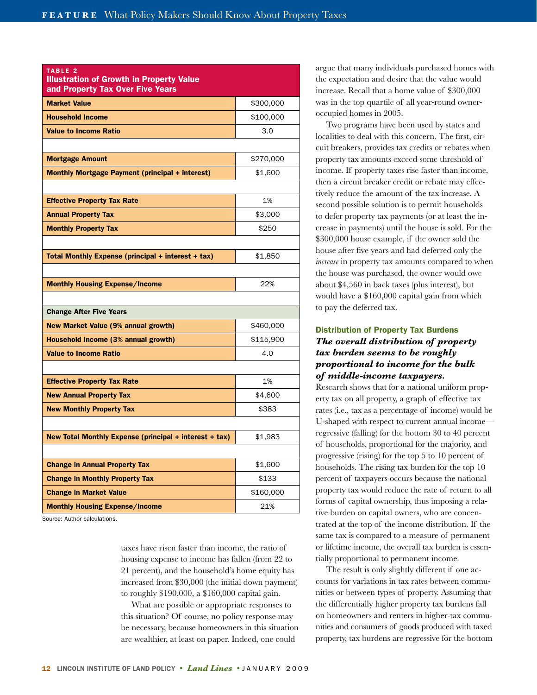| TABLE <sub>2</sub><br><b>Illustration of Growth in Property Value</b><br>and Property Tax Over Five Years |           |  |
|-----------------------------------------------------------------------------------------------------------|-----------|--|
| <b>Market Value</b>                                                                                       | \$300,000 |  |
| <b>Household Income</b>                                                                                   | \$100,000 |  |
| <b>Value to Income Ratio</b>                                                                              | 3.0       |  |
| <b>Mortgage Amount</b>                                                                                    | \$270,000 |  |
| <b>Monthly Mortgage Payment (principal + interest)</b>                                                    | \$1,600   |  |
| <b>Effective Property Tax Rate</b>                                                                        | 1%        |  |
| <b>Annual Property Tax</b>                                                                                | \$3,000   |  |
| <b>Monthly Property Tax</b>                                                                               | \$250     |  |
| Total Monthly Expense (principal + interest + tax)                                                        | \$1,850   |  |
| <b>Monthly Housing Expense/Income</b>                                                                     | 22%       |  |
| <b>Change After Five Years</b>                                                                            |           |  |
| New Market Value (9% annual growth)                                                                       | \$460,000 |  |
| Household Income (3% annual growth)                                                                       | \$115,900 |  |
| <b>Value to Income Ratio</b>                                                                              | 4.0       |  |
| <b>Effective Property Tax Rate</b>                                                                        | 1%        |  |
| <b>New Annual Property Tax</b>                                                                            | \$4,600   |  |
| <b>New Monthly Property Tax</b>                                                                           | \$383     |  |
| New Total Monthly Expense (principal + interest + tax)                                                    | \$1,983   |  |
| <b>Change in Annual Property Tax</b>                                                                      | \$1,600   |  |
| <b>Change in Monthly Property Tax</b>                                                                     | \$133     |  |
| <b>Change in Market Value</b>                                                                             | \$160,000 |  |
| <b>Monthly Housing Expense/Income</b>                                                                     | 21%       |  |

Source: Author calculations.

taxes have risen faster than income, the ratio of housing expense to income has fallen (from 22 to 21 percent), and the household's home equity has increased from \$30,000 (the initial down payment) to roughly \$190,000, a \$160,000 capital gain.

 What are possible or appropriate responses to this situation? Of course, no policy response may be necessary, because homeowners in this situation are wealthier, at least on paper. Indeed, one could

argue that many individuals purchased homes with the expectation and desire that the value would increase. Recall that a home value of \$300,000 was in the top quartile of all year-round owneroccupied homes in 2005.

Two programs have been used by states and localities to deal with this concern. The first, circuit breakers, provides tax credits or rebates when property tax amounts exceed some threshold of income. If property taxes rise faster than income, then a circuit breaker credit or rebate may effectively reduce the amount of the tax increase. A second possible solution is to permit households to defer property tax payments (or at least the increase in payments) until the house is sold. For the \$300,000 house example, if the owner sold the house after five years and had deferred only the *increase* in property tax amounts compared to when the house was purchased, the owner would owe about \$4,560 in back taxes (plus interest), but would have a \$160,000 capital gain from which to pay the deferred tax.

# Distribution of Property Tax Burdens *The overall distribution of property tax burden seems to be roughly proportional to income for the bulk of middle-income taxpayers.*

Research shows that for a national uniform property tax on all property, a graph of effective tax rates (i.e., tax as a percentage of income) would be U-shaped with respect to current annual income regressive (falling) for the bottom 30 to 40 percent of households, proportional for the majority, and progressive (rising) for the top 5 to 10 percent of households. The rising tax burden for the top 10 percent of taxpayers occurs because the national property tax would reduce the rate of return to all forms of capital ownership, thus imposing a relative burden on capital owners, who are concentrated at the top of the income distribution. If the same tax is compared to a measure of permanent or lifetime income, the overall tax burden is essentially proportional to permanent income.

The result is only slightly different if one accounts for variations in tax rates between communities or between types of property. Assuming that the differentially higher property tax burdens fall on homeowners and renters in higher-tax communities and consumers of goods produced with taxed property, tax burdens are regressive for the bottom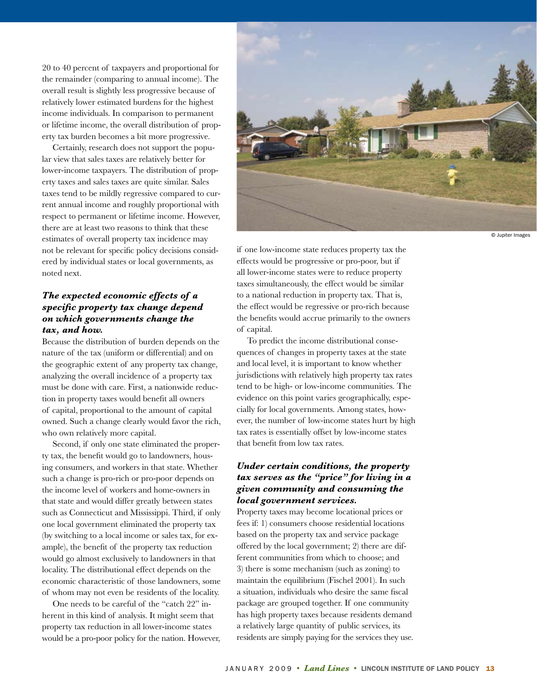20 to 40 percent of taxpayers and proportional for the remainder (comparing to annual income). The overall result is slightly less progressive because of relatively lower estimated burdens for the highest income individuals. In comparison to permanent or lifetime income, the overall distribution of property tax burden becomes a bit more progressive.

Certainly, research does not support the popular view that sales taxes are relatively better for lower-income taxpayers. The distribution of property taxes and sales taxes are quite similar. Sales taxes tend to be mildly regressive compared to current annual income and roughly proportional with respect to permanent or lifetime income. However, there are at least two reasons to think that these estimates of overall property tax incidence may not be relevant for specific policy decisions considered by individual states or local governments, as noted next.

## *The expected economic effects of a specific property tax change depend on which governments change the tax, and how.*

Because the distribution of burden depends on the nature of the tax (uniform or differential) and on the geographic extent of any property tax change, analyzing the overall incidence of a property tax must be done with care. First, a nationwide reduction in property taxes would benefit all owners of capital, proportional to the amount of capital owned. Such a change clearly would favor the rich, who own relatively more capital.

Second, if only one state eliminated the property tax, the benefit would go to landowners, housing consumers, and workers in that state. Whether such a change is pro-rich or pro-poor depends on the income level of workers and home-owners in that state and would differ greatly between states such as Connecticut and Mississippi. Third, if only one local government eliminated the property tax (by switching to a local income or sales tax, for example), the benefit of the property tax reduction would go almost exclusively to landowners in that locality. The distributional effect depends on the economic characteristic of those landowners, some of whom may not even be residents of the locality.

One needs to be careful of the "catch 22" inherent in this kind of analysis. It might seem that property tax reduction in all lower-income states would be a pro-poor policy for the nation. However,



© Jupiter Images

if one low-income state reduces property tax the effects would be progressive or pro-poor, but if all lower-income states were to reduce property taxes simultaneously, the effect would be similar to a national reduction in property tax. That is, the effect would be regressive or pro-rich because the benefits would accrue primarily to the owners of capital.

To predict the income distributional consequences of changes in property taxes at the state and local level, it is important to know whether jurisdictions with relatively high property tax rates tend to be high- or low-income communities. The evidence on this point varies geographically, especially for local governments. Among states, how ever, the number of low-income states hurt by high tax rates is essentially offset by low-income states that benefit from low tax rates.

# *Under certain conditions, the property tax serves as the "price" for living in a given community and consuming the local government services.*

Property taxes may become locational prices or fees if: 1) consumers choose residential locations based on the property tax and service package offered by the local government; 2) there are different communities from which to choose; and 3) there is some mechanism (such as zoning) to maintain the equilibrium (Fischel 2001). In such a situation, individuals who desire the same fiscal package are grouped together. If one community has high property taxes because residents demand a relatively large quantity of public services, its residents are simply paying for the services they use.